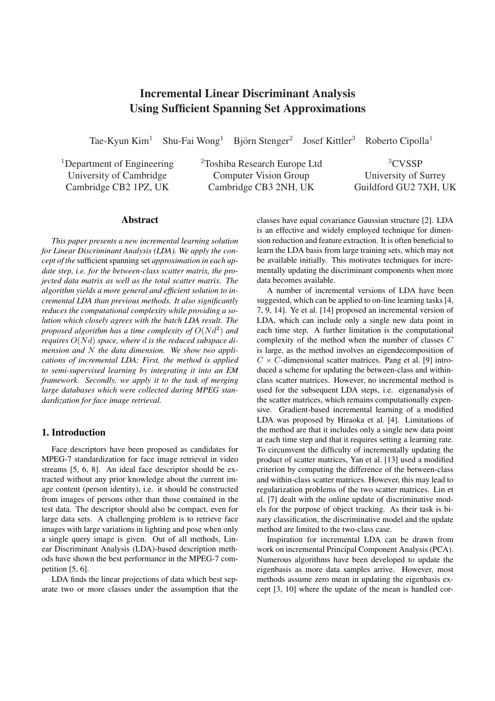# Incremental Linear Discriminant Analysis Using Sufficient Spanning Set Approximations

Tae-Kyun Kim<sup>1</sup> Shu-Fai Wong<sup>1</sup> Björn Stenger<sup>2</sup> Josef Kittler<sup>3</sup> Roberto Cipolla<sup>1</sup>

<sup>1</sup>Department of Engineering University of Cambridge Cambridge CB2 1PZ, UK

<sup>2</sup>Toshiba Research Europe Ltd Computer Vision Group Cambridge CB3 2NH, UK

<sup>3</sup>CVSSP University of Surrey Guildford GU2 7XH, UK

## Abstract

*This paper presents a new incremental learning solution for Linear Discriminant Analysis (LDA). We apply the concept of the* sufficient spanning set *approximation in each update step, i.e. for the between-class scatter matrix, the projected data matrix as well as the total scatter matrix. The algorithm yields a more general and efficient solution to incremental LDA than previous methods. It also significantly reduces the computational complexity while providing a solution which closely agrees with the batch LDA result. The proposed algorithm has a time complexity of*  $O(Nd^2)$  *and requires* O(Nd) *space, where* d *is the reduced subspace dimension and* N *the data dimension. We show two applications of incremental LDA: First, the method is applied to semi-supervised learning by integrating it into an EM framework. Secondly, we apply it to the task of merging large databases which were collected during MPEG standardization for face image retrieval.*

# 1. Introduction

Face descriptors have been proposed as candidates for MPEG-7 standardization for face image retrieval in video streams [5, 6, 8]. An ideal face descriptor should be extracted without any prior knowledge about the current image content (person identity), i.e. it should be constructed from images of persons other than those contained in the test data. The descriptor should also be compact, even for large data sets. A challenging problem is to retrieve face images with large variations in lighting and pose when only a single query image is given. Out of all methods, Linear Discriminant Analysis (LDA)-based description methods have shown the best performance in the MPEG-7 competition [5, 6].

LDA finds the linear projections of data which best separate two or more classes under the assumption that the classes have equal covariance Gaussian structure [2]. LDA is an effective and widely employed technique for dimension reduction and feature extraction. It is often beneficial to learn the LDA basis from large training sets, which may not be available initially. This motivates techniques for incrementally updating the discriminant components when more data becomes available.

A number of incremental versions of LDA have been suggested, which can be applied to on-line learning tasks [4, 7, 9, 14]. Ye et al. [14] proposed an incremental version of LDA, which can include only a single new data point in each time step. A further limitation is the computational complexity of the method when the number of classes C is large, as the method involves an eigendecomposition of  $C \times C$ -dimensional scatter matrices. Pang et al. [9] introduced a scheme for updating the between-class and withinclass scatter matrices. However, no incremental method is used for the subsequent LDA steps, i.e. eigenanalysis of the scatter matrices, which remains computationally expensive. Gradient-based incremental learning of a modified LDA was proposed by Hiraoka et al. [4]. Limitations of the method are that it includes only a single new data point at each time step and that it requires setting a learning rate. To circumvent the difficulty of incrementally updating the product of scatter matrices, Yan et al. [13] used a modified criterion by computing the difference of the between-class and within-class scatter matrices. However, this may lead to regularization problems of the two scatter matrices. Lin et al. [7] dealt with the online update of discriminative models for the purpose of object tracking. As their task is binary classification, the discriminative model and the update method are limited to the two-class case.

Inspiration for incremental LDA can be drawn from work on incremental Principal Component Analysis (PCA). Numerous algorithms have been developed to update the eigenbasis as more data samples arrive. However, most methods assume zero mean in updating the eigenbasis except [3, 10] where the update of the mean is handled cor-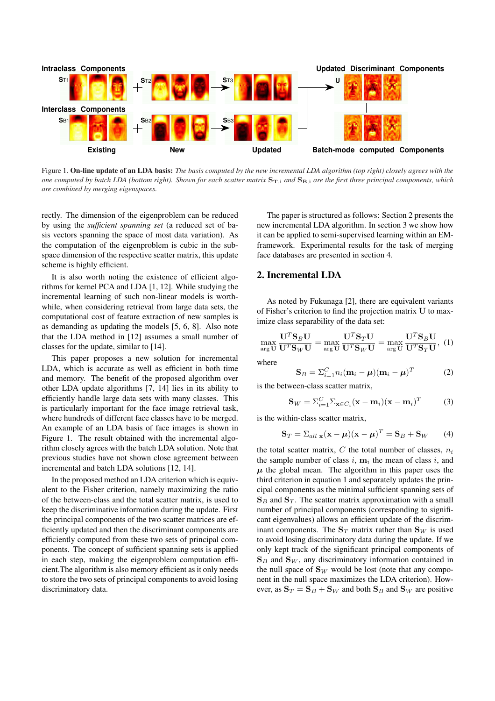

Figure 1. On-line update of an LDA basis: *The basis computed by the new incremental LDA algorithm (top right) closely agrees with the one computed by batch LDA (bottom right). Shown for each scatter matrix*  $S_{T,i}$  *and*  $S_{B,i}$  *are the first three principal components, which are combined by merging eigenspaces.*

rectly. The dimension of the eigenproblem can be reduced by using the *sufficient spanning set* (a reduced set of basis vectors spanning the space of most data variation). As the computation of the eigenproblem is cubic in the subspace dimension of the respective scatter matrix, this update scheme is highly efficient.

It is also worth noting the existence of efficient algorithms for kernel PCA and LDA [1, 12]. While studying the incremental learning of such non-linear models is worthwhile, when considering retrieval from large data sets, the computational cost of feature extraction of new samples is as demanding as updating the models [5, 6, 8]. Also note that the LDA method in [12] assumes a small number of classes for the update, similar to [14].

This paper proposes a new solution for incremental LDA, which is accurate as well as efficient in both time and memory. The benefit of the proposed algorithm over other LDA update algorithms [7, 14] lies in its ability to efficiently handle large data sets with many classes. This is particularly important for the face image retrieval task, where hundreds of different face classes have to be merged. An example of an LDA basis of face images is shown in Figure 1. The result obtained with the incremental algorithm closely agrees with the batch LDA solution. Note that previous studies have not shown close agreement between incremental and batch LDA solutions [12, 14].

In the proposed method an LDA criterion which is equivalent to the Fisher criterion, namely maximizing the ratio of the between-class and the total scatter matrix, is used to keep the discriminative information during the update. First the principal components of the two scatter matrices are efficiently updated and then the discriminant components are efficiently computed from these two sets of principal components. The concept of sufficient spanning sets is applied in each step, making the eigenproblem computation efficient.The algorithm is also memory efficient as it only needs to store the two sets of principal components to avoid losing discriminatory data.

The paper is structured as follows: Section 2 presents the new incremental LDA algorithm. In section 3 we show how it can be applied to semi-supervised learning within an EMframework. Experimental results for the task of merging face databases are presented in section 4.

#### 2. Incremental LDA

As noted by Fukunaga [2], there are equivalent variants of Fisher's criterion to find the projection matrix U to maximize class separability of the data set:

$$
\max_{\arg U} \frac{\mathbf{U}^T \mathbf{S}_B \mathbf{U}}{\mathbf{U}^T \mathbf{S}_W \mathbf{U}} = \max_{\arg U} \frac{\mathbf{U}^T \mathbf{S}_T \mathbf{U}}{\mathbf{U}^T \mathbf{S}_W \mathbf{U}} = \max_{\arg U} \frac{\mathbf{U}^T \mathbf{S}_B \mathbf{U}}{\mathbf{U}^T \mathbf{S}_T \mathbf{U}},
$$
 (1)

where

$$
\mathbf{S}_{B} = \sum_{i=1}^{C} n_i (\mathbf{m}_i - \boldsymbol{\mu}) (\mathbf{m}_i - \boldsymbol{\mu})^T
$$
 (2)

is the between-class scatter matrix,

$$
\mathbf{S}_W = \sum_{i=1}^C \sum_{\mathbf{x} \in C_i} (\mathbf{x} - \mathbf{m}_i)(\mathbf{x} - \mathbf{m}_i)^T
$$
 (3)

is the within-class scatter matrix,

$$
\mathbf{S}_T = \sum_{all} \mathbf{x} (\mathbf{x} - \boldsymbol{\mu}) (\mathbf{x} - \boldsymbol{\mu})^T = \mathbf{S}_B + \mathbf{S}_W \qquad (4)
$$

the total scatter matrix,  $C$  the total number of classes,  $n_i$ the sample number of class  $i$ ,  $m_i$  the mean of class  $i$ , and  $\mu$  the global mean. The algorithm in this paper uses the third criterion in equation 1 and separately updates the principal components as the minimal sufficient spanning sets of  $\mathbf{S}_B$  and  $\mathbf{S}_T$ . The scatter matrix approximation with a small number of principal components (corresponding to significant eigenvalues) allows an efficient update of the discriminant components. The  $S_T$  matrix rather than  $S_W$  is used to avoid losing discriminatory data during the update. If we only kept track of the significant principal components of  $\mathbf{S}_B$  and  $\mathbf{S}_W$ , any discriminatory information contained in the null space of  $\mathbf{S}_W$  would be lost (note that any component in the null space maximizes the LDA criterion). However, as  $S_T = S_B + S_W$  and both  $S_B$  and  $S_W$  are positive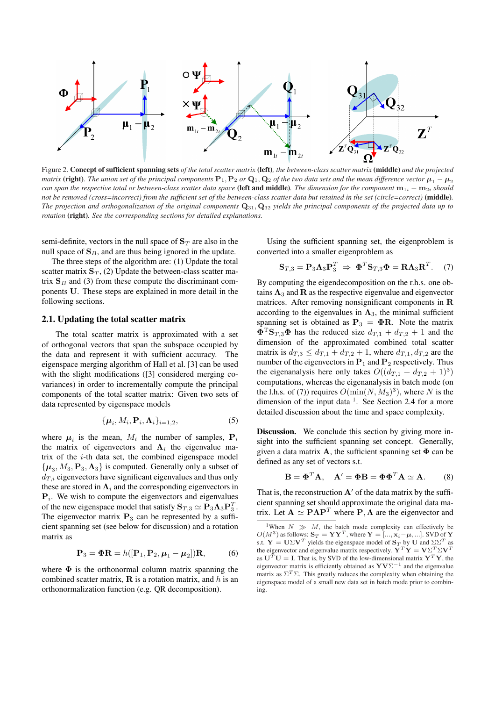

Figure 2. Concept of sufficient spanning sets *of the total scatter matrix* (left)*, the between-class scatter matrix* (middle) *and the projected matrix* (**right**). The union set of the principal components  $P_1$ ,  $P_2$  or  $Q_1$ ,  $Q_2$  of the two data sets and the mean difference vector  $\mu_1 - \mu_2$ *can span the respective total or between-class scatter data space* (left and middle). The dimension for the component  $m_{1i} - m_{2i}$  *should not be removed (cross=incorrect) from the sufficient set of the between-class scatter data but retained in the set (circle=correct)* (middle)*. The projection and orthogonalization of the original components* Q31, Q<sup>32</sup> *yields the principal components of the projected data up to rotation* (right)*. See the corresponding sections for detailed explanations.*

semi-definite, vectors in the null space of  $S_T$  are also in the null space of  $\mathbf{S}_B$ , and are thus being ignored in the update.

The three steps of the algorithm are: (1) Update the total scatter matrix  $\mathbf{S}_T$ , (2) Update the between-class scatter matrix  $S_B$  and (3) from these compute the discriminant components U. These steps are explained in more detail in the following sections.

#### 2.1. Updating the total scatter matrix

The total scatter matrix is approximated with a set of orthogonal vectors that span the subspace occupied by the data and represent it with sufficient accuracy. The eigenspace merging algorithm of Hall et al. [3] can be used with the slight modifications ([3] considered merging covariances) in order to incrementally compute the principal components of the total scatter matrix: Given two sets of data represented by eigenspace models

$$
\{\boldsymbol{\mu}_i, M_i, \mathbf{P}_i, \boldsymbol{\Lambda}_i\}_{i=1,2},\tag{5}
$$

where  $\mu_i$  is the mean,  $M_i$  the number of samples,  $P_i$ the matrix of eigenvectors and  $\Lambda_i$  the eigenvalue matrix of the  $i$ -th data set, the combined eigenspace model  $\{\boldsymbol{\mu}_3, M_3, \mathbf{P}_3, \boldsymbol{\Lambda}_3\}$  is computed. Generally only a subset of  $d_{T,i}$  eigenvectors have significant eigenvalues and thus only these are stored in  $\Lambda_i$  and the corresponding eigenvectors in  $P_i$ . We wish to compute the eigenvectors and eigenvalues of the new eigenspace model that satisfy  $\mathbf{S}_{T,3} \simeq \mathbf{P}_3 \mathbf{\Lambda}_3 \mathbf{P}_3^T$ . The eigenvector matrix  $P_3$  can be represented by a sufficient spanning set (see below for discussion) and a rotation matrix as

$$
\mathbf{P}_3 = \mathbf{\Phi}\mathbf{R} = h([\mathbf{P}_1, \mathbf{P}_2, \boldsymbol{\mu}_1 - \boldsymbol{\mu}_2])\mathbf{R},\tag{6}
$$

where  $\Phi$  is the orthonormal column matrix spanning the combined scatter matrix,  $\bf{R}$  is a rotation matrix, and h is an orthonormalization function (e.g. QR decomposition).

Using the sufficient spanning set, the eigenproblem is converted into a smaller eigenproblem as

$$
\mathbf{S}_{T,3} = \mathbf{P}_3 \mathbf{\Lambda}_3 \mathbf{P}_3^T \Rightarrow \mathbf{\Phi}^T \mathbf{S}_{T,3} \mathbf{\Phi} = \mathbf{R} \mathbf{\Lambda}_3 \mathbf{R}^T. \tag{7}
$$

By computing the eigendecomposition on the r.h.s. one obtains  $\Lambda_3$  and  $R$  as the respective eigenvalue and eigenvector matrices. After removing nonsignificant components in R according to the eigenvalues in  $\Lambda_3$ , the minimal sufficient spanning set is obtained as  $P_3 = \Phi R$ . Note the matrix  $\mathbf{\Phi}^{\mathrm{T}}\mathbf{S}_{T,3}\mathbf{\Phi}$  has the reduced size  $d_{T,1} + d_{T,2} + 1$  and the dimension of the approximated combined total scatter matrix is  $d_{T,3} \leq d_{T,1} + d_{T,2} + 1$ , where  $d_{T,1}, d_{T,2}$  are the number of the eigenvectors in  $P_1$  and  $P_2$  respectively. Thus the eigenanalysis here only takes  $O((d_{T,1} + d_{T,2} + 1)^3)$ computations, whereas the eigenanalysis in batch mode (on the l.h.s. of (7)) requires  $O(\min(N, M_3)^3)$ , where N is the dimension of the input data  $<sup>1</sup>$ . See Section 2.4 for a more</sup> detailed discussion about the time and space complexity.

Discussion. We conclude this section by giving more insight into the sufficient spanning set concept. Generally, given a data matrix A, the sufficient spanning set  $\Phi$  can be defined as any set of vectors s.t.

$$
\mathbf{B} = \mathbf{\Phi}^T \mathbf{A}, \quad \mathbf{A}' = \mathbf{\Phi} \mathbf{B} = \mathbf{\Phi} \mathbf{\Phi}^T \mathbf{A} \simeq \mathbf{A}.
$$
 (8)

That is, the reconstruction  $A'$  of the data matrix by the sufficient spanning set should approximate the original data matrix. Let  $\mathbf{A} \simeq \mathbf{P} \mathbf{\Lambda} \mathbf{P}^T$  where  $\mathbf{P}, \mathbf{\Lambda}$  are the eigenvector and

<sup>&</sup>lt;sup>1</sup>When  $N \gg M$ , the batch mode complexity can effectively be  $O(M^3)$  as follows:  $\mathbf{S}_T = \mathbf{YY}^T$ , where  $\mathbf{Y} = [\dots, \mathbf{x}_i - \boldsymbol{\mu}, \dots]$ . SVD of  $\mathbf{Y}$ s.t.  $\mathbf{Y} = \mathbf{U} \Sigma \mathbf{V}^T$  yields the eigenspace model of  $\mathbf{S}_T$  by  $\mathbf{U}$  and  $\Sigma \Sigma^T$  as the eigenvector and eigenvalue matrix respectively.  $\mathbf{Y}^T \mathbf{Y} = \mathbf{V} \Sigma^T \Sigma \mathbf{V}^T$ as  $U^T U = I$ . That is, by SVD of the low-dimensional matrix  $Y^T Y$ , the eigenvector matrix is efficiently obtained as  $\mathbf{Y}\mathbf{V}\Sigma^{-1}$  and the eigenvalue matrix as  $\Sigma^T \Sigma$ . This greatly reduces the complexity when obtaining the eigenspace model of a small new data set in batch mode prior to combining.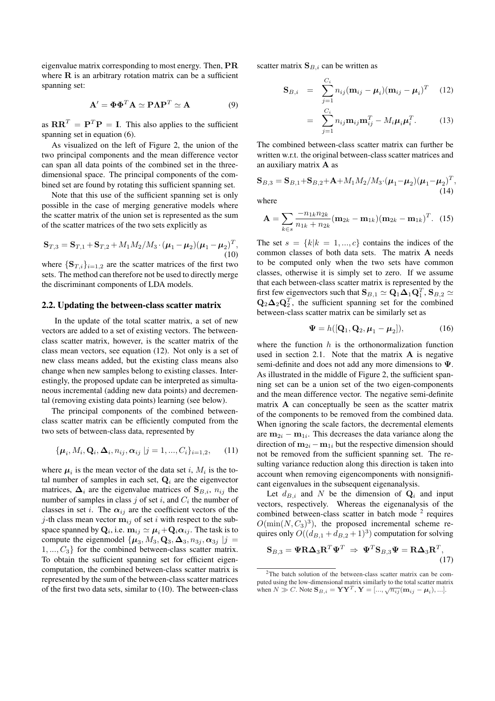eigenvalue matrix corresponding to most energy. Then, PR where  **is an arbitrary rotation matrix can be a sufficient** spanning set:

$$
\mathbf{A}' = \mathbf{\Phi} \mathbf{\Phi}^T \mathbf{A} \simeq \mathbf{P} \mathbf{\Lambda} \mathbf{P}^T \simeq \mathbf{A}
$$
 (9)

as  $\mathbf{R}\mathbf{R}^T = \mathbf{P}^T\mathbf{P} = \mathbf{I}$ . This also applies to the sufficient spanning set in equation (6).

As visualized on the left of Figure 2, the union of the two principal components and the mean difference vector can span all data points of the combined set in the threedimensional space. The principal components of the combined set are found by rotating this sufficient spanning set.

Note that this use of the sufficient spanning set is only possible in the case of merging generative models where the scatter matrix of the union set is represented as the sum of the scatter matrices of the two sets explicitly as

$$
\mathbf{S}_{T,3} = \mathbf{S}_{T,1} + \mathbf{S}_{T,2} + M_1 M_2 / M_3 \cdot (\boldsymbol{\mu}_1 - \boldsymbol{\mu}_2) (\boldsymbol{\mu}_1 - \boldsymbol{\mu}_2)^T, \tag{10}
$$

where  $\{S_{T,i}\}_{i=1,2}$  are the scatter matrices of the first two sets. The method can therefore not be used to directly merge the discriminant components of LDA models.

#### 2.2. Updating the between-class scatter matrix

In the update of the total scatter matrix, a set of new vectors are added to a set of existing vectors. The betweenclass scatter matrix, however, is the scatter matrix of the class mean vectors, see equation (12). Not only is a set of new class means added, but the existing class means also change when new samples belong to existing classes. Interestingly, the proposed update can be interpreted as simultaneous incremental (adding new data points) and decremental (removing existing data points) learning (see below).

The principal components of the combined betweenclass scatter matrix can be efficiently computed from the two sets of between-class data, represented by

$$
\{\boldsymbol{\mu}_i, M_i, \mathbf{Q}_i, \boldsymbol{\Delta}_i, n_{ij}, \boldsymbol{\alpha}_{ij} \, | j = 1, ..., C_i\}_{i=1,2},\qquad(11)
$$

where  $\mu_i$  is the mean vector of the data set i,  $M_i$  is the total number of samples in each set,  $Q_i$  are the eigenvector matrices,  $\Delta_i$  are the eigenvalue matrices of  $\mathbf{S}_{B,i}$ ,  $n_{ij}$  the number of samples in class  $j$  of set  $i$ , and  $C_i$  the number of classes in set i. The  $\alpha_{ij}$  are the coefficient vectors of the j-th class mean vector  $m_{ij}$  of set i with respect to the subspace spanned by  $\mathbf{Q}_i$ , i.e.  $\mathbf{m}_{ij} \simeq \boldsymbol{\mu}_i \!+\! \mathbf{Q}_i \boldsymbol{\alpha}_{ij}$ . The task is to compute the eigenmodel  $\{\mu_3, M_3, \mathbf{Q}_3, \mathbf{\Delta}_3, n_{3j}, \alpha_{3j} | j =$  $1, ..., C_3$  for the combined between-class scatter matrix. To obtain the sufficient spanning set for efficient eigencomputation, the combined between-class scatter matrix is represented by the sum of the between-class scatter matrices of the first two data sets, similar to (10). The between-class scatter matrix  $S_{B,i}$  can be written as

$$
\mathbf{S}_{B,i} = \sum_{j=1}^{C_i} n_{ij} (\mathbf{m}_{ij} - \boldsymbol{\mu}_i) (\mathbf{m}_{ij} - \boldsymbol{\mu}_i)^T
$$
 (12)

$$
= \sum_{j=1}^{C_i} n_{ij} \mathbf{m}_{ij} \mathbf{m}_{ij}^T - M_i \boldsymbol{\mu}_i \boldsymbol{\mu}_i^T.
$$
 (13)

The combined between-class scatter matrix can further be written w.r.t. the original between-class scatter matrices and an auxiliary matrix A as

$$
\mathbf{S}_{B,3} = \mathbf{S}_{B,1} + \mathbf{S}_{B,2} + \mathbf{A} + M_1 M_2 / M_3 \cdot (\boldsymbol{\mu}_1 - \boldsymbol{\mu}_2) (\boldsymbol{\mu}_1 - \boldsymbol{\mu}_2)^T, \tag{14}
$$

where

$$
\mathbf{A} = \sum_{k \in S} \frac{-n_{1k} n_{2k}}{n_{1k} + n_{2k}} (\mathbf{m}_{2k} - \mathbf{m}_{1k}) (\mathbf{m}_{2k} - \mathbf{m}_{1k})^T.
$$
 (15)

The set  $s = \{k | k = 1, ..., c\}$  contains the indices of the common classes of both data sets. The matrix A needs to be computed only when the two sets have common classes, otherwise it is simply set to zero. If we assume that each between-class scatter matrix is represented by the first few eigenvectors such that  $\mathbf{S}_{B,1} \simeq \mathbf{Q}_1 \mathbf{\Delta}_1 \mathbf{Q}_1^T$ ,  $\mathbf{S}_{B,2} \simeq$  $\mathbf{Q}_2 \mathbf{\Delta}_2 \mathbf{Q}_2^T$ , the sufficient spanning set for the combined between-class scatter matrix can be similarly set as

$$
\mathbf{\Psi} = h([\mathbf{Q}_1, \mathbf{Q}_2, \boldsymbol{\mu}_1 - \boldsymbol{\mu}_2]),\tag{16}
$$

where the function  $h$  is the orthonormalization function used in section 2.1. Note that the matrix  $\bf{A}$  is negative semi-definite and does not add any more dimensions to Ψ. As illustrated in the middle of Figure 2, the sufficient spanning set can be a union set of the two eigen-components and the mean difference vector. The negative semi-definite matrix A can conceptually be seen as the scatter matrix of the components to be removed from the combined data. When ignoring the scale factors, the decremental elements are  $m_{2i} - m_{1i}$ . This decreases the data variance along the direction of  $m_{2i} - m_{1i}$  but the respective dimension should not be removed from the sufficient spanning set. The resulting variance reduction along this direction is taken into account when removing eigencomponents with nonsignificant eigenvalues in the subsequent eigenanalysis.

Let  $d_{B,i}$  and N be the dimension of  $\mathbf{Q}_i$  and input vectors, respectively. Whereas the eigenanalysis of the combined between-class scatter in batch mode  $2$  requires  $O(\min(N, C_3)^3)$ , the proposed incremental scheme requires only  $O((d_{B,1} + d_{B,2} + 1)^3)$  computation for solving

$$
\mathbf{S}_{B,3} = \mathbf{\Psi} \mathbf{R} \mathbf{\Delta}_3 \mathbf{R}^T \mathbf{\Psi}^T \Rightarrow \mathbf{\Psi}^T \mathbf{S}_{B,3} \mathbf{\Psi} = \mathbf{R} \mathbf{\Delta}_3 \mathbf{R}^T,
$$
\n(17)

<sup>2</sup>The batch solution of the between-class scatter matrix can be computed using the low-dimensional matrix similarly to the total scatter matrix when  $N \gg C$ . Note  $\mathbf{S}_{B,i} = \mathbf{Y}\mathbf{Y}^T$ ,  $\mathbf{Y} = [\dots, \sqrt{n_{ij}}(\mathbf{m}_{ij} - \boldsymbol{\mu}_i), \dots]$ .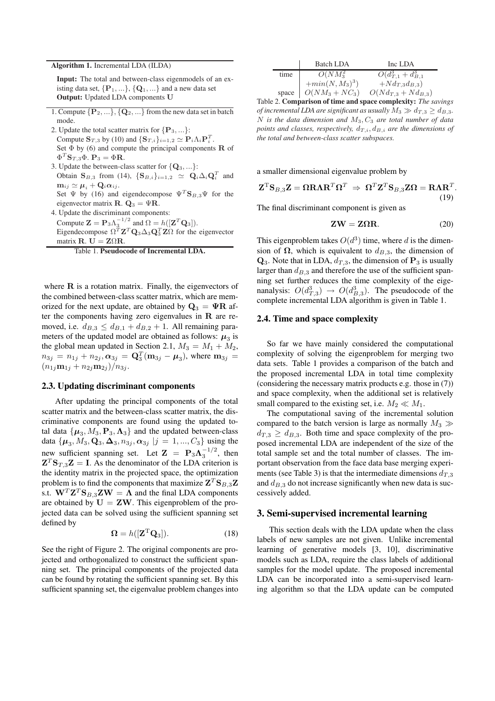#### Algorithm 1. Incremental LDA (ILDA)

Input: The total and between-class eigenmodels of an existing data set,  $\{P_1, \ldots\}$ ,  $\{Q_1, \ldots\}$  and a new data set Output: Updated LDA components U

- 1. Compute  $\{P_2, ...\}$ ,  $\{Q_2, ...\}$  from the new data set in batch mode.
- 2. Update the total scatter matrix for  $\{P_3, ...\}$ : Compute  $\mathbf{S}_{T,3}$  by (10) and  $\{\mathbf{S}_{T,i}\}_{i=1,2} \simeq \mathbf{P}_i \Lambda_i \mathbf{P}_i^T$ . Set  $\Phi$  by (6) and compute the principal components  $\bf R$  of  $\Phi^T \mathbf{S}_{T,3} \Phi. \ \mathbf{P}_3 = \Phi \mathbf{R}.$
- 3. Update the between-class scatter for  $\{Q_3, ...\}$ : Obtain  $\mathbf{S}_{B,3}$  from (14),  $\{\mathbf{S}_{B,i}\}_{i=1,2} \simeq \mathbf{Q}_i \Delta_i \mathbf{Q}_i^T$  and  $m_{ij} \simeq \mu_i + Q_i \alpha_{ij}.$ Set  $\Psi$  by (16) and eigendecompose  $\Psi^T \mathbf{S}_{B,3} \Psi$  for the
- eigenvector matrix **R**.  $\mathbf{Q}_3 = \Psi \mathbf{R}$ . 4. Update the discriminant components:
- Compute  $\mathbf{Z} = \mathbf{P}_3 \Lambda_3^{-1/2}$  and  $\Omega = h([\mathbf{Z}^T \mathbf{Q}_3]).$ Eigendecompose  $\Omega^T \mathbf{Z}^T \mathbf{Q}_3 \Delta_3 \mathbf{Q}_3^T \mathbf{Z} \Omega$  for the eigenvector matrix **R**.  $U = Z\Omega R$ .



where  $\bf{R}$  is a rotation matrix. Finally, the eigenvectors of the combined between-class scatter matrix, which are memorized for the next update, are obtained by  $\mathbf{Q}_3 = \mathbf{\Psi} \mathbf{R}$  after the components having zero eigenvalues in  **are re**moved, i.e.  $d_{B,3} \leq d_{B,1} + d_{B,2} + 1$ . All remaining parameters of the updated model are obtained as follows:  $\mu_3$  is the global mean updated in Section 2.1,  $M_3 = M_1 + M_2$ ,  $n_{3j} = n_{1j} + n_{2j}, \alpha_{3j} = \mathbf{Q}_3^T(\mathbf{m}_{3j} - \boldsymbol{\mu}_3)$ , where  $\mathbf{m}_{3j} =$  $(n_{1j}m_{1j} + n_{2j}m_{2j})/n_{3j}$ .

## 2.3. Updating discriminant components

After updating the principal components of the total scatter matrix and the between-class scatter matrix, the discriminative components are found using the updated total data  $\{\boldsymbol{\mu}_3, M_3, \mathbf{P}_3, \boldsymbol{\Lambda}_3\}$  and the updated between-class data  $\{\mu_3, M_3, \mathbf{Q}_3, \mathbf{\Delta}_3, n_{3j}, \alpha_{3j} | j = 1, ..., C_3\}$  using the new sufficient spanning set. Let  $\mathbf{Z} = \mathbf{P}_3 \mathbf{\Lambda}_3^{-1/2}$ , then  $Z^T S_{T,3} Z = I$ . As the denominator of the LDA criterion is the identity matrix in the projected space, the optimization problem is to find the components that maximize  $\mathbf{Z}^{T}\mathbf{S}_{B,3}\mathbf{Z}$ s.t.  $\mathbf{W}^T \mathbf{Z}^T \mathbf{S}_{B,3} \mathbf{Z} \mathbf{W} = \mathbf{\Lambda}$  and the final LDA components are obtained by  $U = ZW$ . This eigenproblem of the projected data can be solved using the sufficient spanning set defined by

$$
\mathbf{\Omega} = h([\mathbf{Z}^{\mathrm{T}} \mathbf{Q}_3]). \tag{18}
$$

See the right of Figure 2. The original components are projected and orthogonalized to construct the sufficient spanning set. The principal components of the projected data can be found by rotating the sufficient spanning set. By this sufficient spanning set, the eigenvalue problem changes into

|       | Batch LDA         | Inc LDA                  |
|-------|-------------------|--------------------------|
| time  | $O(NM_3^2)$       | $O(d_{T,1}^3+d_{B,1}^3)$ |
|       | $+min(N, M_3)^3)$ | $+Nd_{T,3}d_{B,3})$      |
| space | $O(NM_3 + NC_3)$  | $O(Nd_{T,3} + Nd_{B,3})$ |

Table 2. Comparison of time and space complexity: *The savings of incremental LDA are significant as usually*  $M_3 \gg d_{T,3} \geq d_{B,3}$ . N is the data dimension and  $M_3, C_3$  are total number of data *points and classes, respectively,*  $d_{T,i}$ ,  $d_{B,i}$  *are the dimensions of the total and between-class scatter subspaces.*

a smaller dimensional eigenvalue problem by

$$
\mathbf{Z}^{\mathrm{T}}\mathbf{S}_{B,3}\mathbf{Z} = \mathbf{\Omega}\mathbf{R}\mathbf{\Lambda}\mathbf{R}^T\mathbf{\Omega}^T \Rightarrow \mathbf{\Omega}^T\mathbf{Z}^T\mathbf{S}_{B,3}\mathbf{Z}\mathbf{\Omega} = \mathbf{R}\mathbf{\Lambda}\mathbf{R}^T.
$$
\n(19)

The final discriminant component is given as

$$
ZW = Z\Omega R. \t\t(20)
$$

This eigenproblem takes  $O(d^3)$  time, where d is the dimension of  $\Omega$ , which is equivalent to  $d_{B,3}$ , the dimension of  $\mathbf{Q}_3$ . Note that in LDA,  $d_{T,3}$ , the dimension of  $\mathbf{P}_3$  is usually larger than  $d_{B,3}$  and therefore the use of the sufficient spanning set further reduces the time complexity of the eigenanalysis:  $O(d_{T,3}^3) \rightarrow O(d_{B,3}^3)$ . The pseudocode of the complete incremental LDA algorithm is given in Table 1.

#### 2.4. Time and space complexity

So far we have mainly considered the computational complexity of solving the eigenproblem for merging two data sets. Table 1 provides a comparison of the batch and the proposed incremental LDA in total time complexity (considering the necessary matrix products e.g. those in (7)) and space complexity, when the additional set is relatively small compared to the existing set, i.e.  $M_2 \ll M_1$ .

The computational saving of the incremental solution compared to the batch version is large as normally  $M_3 \gg$  $d_{T,3} \geq d_{B,3}$ . Both time and space complexity of the proposed incremental LDA are independent of the size of the total sample set and the total number of classes. The important observation from the face data base merging experiments (see Table 3) is that the intermediate dimensions  $d_{T,3}$ and  $d_{B,3}$  do not increase significantly when new data is successively added.

## 3. Semi-supervised incremental learning

This section deals with the LDA update when the class labels of new samples are not given. Unlike incremental learning of generative models [3, 10], discriminative models such as LDA, require the class labels of additional samples for the model update. The proposed incremental LDA can be incorporated into a semi-supervised learning algorithm so that the LDA update can be computed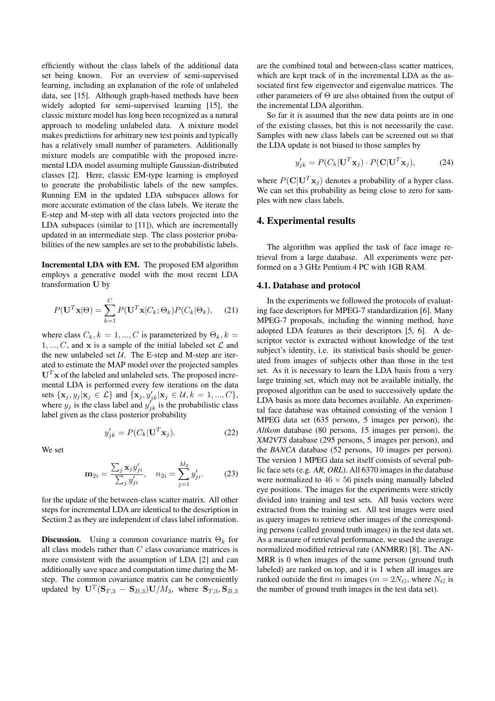efficiently without the class labels of the additional data set being known. For an overview of semi-supervised learning, including an explanation of the role of unlabeled data, see [15]. Although graph-based methods have been widely adopted for semi-supervised learning [15], the classic mixture model has long been recognized as a natural approach to modeling unlabeled data. A mixture model makes predictions for arbitrary new test points and typically has a relatively small number of parameters. Additionally mixture models are compatible with the proposed incremental LDA model assuming multiple Gaussian-distributed classes [2]. Here, classic EM-type learning is employed to generate the probabilistic labels of the new samples. Running EM in the updated LDA subspaces allows for more accurate estimation of the class labels. We iterate the E-step and M-step with all data vectors projected into the LDA subspaces (similar to [11]), which are incrementally updated in an intermediate step. The class posterior probabilities of the new samples are set to the probabilistic labels.

Incremental LDA with EM. The proposed EM algorithm employs a generative model with the most recent LDA transformation U by

$$
P(\mathbf{U}^T \mathbf{x} | \Theta) = \sum_{k=1}^{C} P(\mathbf{U}^T \mathbf{x} | C_k; \Theta_k) P(C_k | \Theta_k), \quad (21)
$$

where class  $C_k, k = 1, ..., C$  is parameterized by  $\Theta_k, k = 1, ..., C$ 1, ..., C, and x is a sample of the initial labeled set  $\mathcal L$  and the new unlabeled set  $U$ . The E-step and M-step are iterated to estimate the MAP model over the projected samples  $U<sup>T</sup>$  x of the labeled and unlabeled sets. The proposed incremental LDA is performed every few iterations on the data sets  $\{\mathbf x_j, y_j | \mathbf x_j \in \mathcal{L}\}\$  and  $\{\mathbf x_j, y'_{jk} | \mathbf x_j \in \mathcal{U}, k = 1, ..., C\}$ , where  $y_j$  is the class label and  $y'_{jk}$  is the probabilistic class label given as the class posterior probability

$$
y'_{jk} = P(C_k | \mathbf{U}^T \mathbf{x}_j). \tag{22}
$$

We set

$$
\mathbf{m}_{2i} = \frac{\sum_{j} \mathbf{x}_{j} y'_{ji}}{\sum_{j} y'_{ji}}, \quad n_{2i} = \sum_{j=1}^{M_2} y'_{ji}.
$$
 (23)

for the update of the between-class scatter matrix. All other steps for incremental LDA are identical to the description in Section 2 as they are independent of class label information.

**Discussion.** Using a common covariance matrix  $\Theta_k$  for all class models rather than  $C$  class covariance matrices is more consistent with the assumption of LDA [2] and can additionally save space and computation time during the Mstep. The common covariance matrix can be conveniently updated by  $\mathbf{U}^T(\mathbf{S}_{T,3}-\mathbf{S}_{B,3}) \mathbf{U}/M_3$ , where  $\mathbf{S}_{T,3}, \mathbf{S}_{B,3}$ 

are the combined total and between-class scatter matrices, which are kept track of in the incremental LDA as the associated first few eigenvector and eigenvalue matrices. The other parameters of Θ are also obtained from the output of the incremental LDA algorithm.

So far it is assumed that the new data points are in one of the existing classes, but this is not necessarily the case. Samples with new class labels can be screened out so that the LDA update is not biased to those samples by

$$
y'_{jk} = P(C_k | \mathbf{U}^T \mathbf{x}_j) \cdot P(\mathbf{C} | \mathbf{U}^T \mathbf{x}_j), \tag{24}
$$

where  $P(C|\mathbf{U}^T\mathbf{x}_j)$  denotes a probability of a hyper class. We can set this probability as being close to zero for samples with new class labels.

## 4. Experimental results

The algorithm was applied the task of face image retrieval from a large database. All experiments were performed on a 3 GHz Pentium 4 PC with 1GB RAM.

#### 4.1. Database and protocol

In the experiments we followed the protocols of evaluating face descriptors for MPEG-7 standardization [6]. Many MPEG-7 proposals, including the winning method, have adopted LDA features as their descriptors [5, 6]. A descriptor vector is extracted without knowledge of the test subject's identity, i.e. its statistical basis should be generated from images of subjects other than those in the test set. As it is necessary to learn the LDA basis from a very large training set, which may not be available initially, the proposed algorithm can be used to successively update the LDA basis as more data becomes available. An experimental face database was obtained consisting of the version 1 MPEG data set (635 persons, 5 images per person), the *Altkom* database (80 persons, 15 images per person), the *XM2VTS* database (295 persons, 5 images per person), and the *BANCA* database (52 persons, 10 images per person). The version 1 MPEG data set itself consists of several public face sets (e.g. *AR, ORL*). All 6370 images in the database were normalized to  $46 \times 56$  pixels using manually labeled eye positions. The images for the experiments were strictly divided into training and test sets. All basis vectors were extracted from the training set. All test images were used as query images to retrieve other images of the corresponding persons (called ground truth images) in the test data set. As a measure of retrieval performance, we used the average normalized modified retrieval rate (ANMRR) [8]. The AN-MRR is 0 when images of the same person (ground truth labeled) are ranked on top, and it is 1 when all images are ranked outside the first m images ( $m = 2N_G$ , where  $N_G$  is the number of ground truth images in the test data set).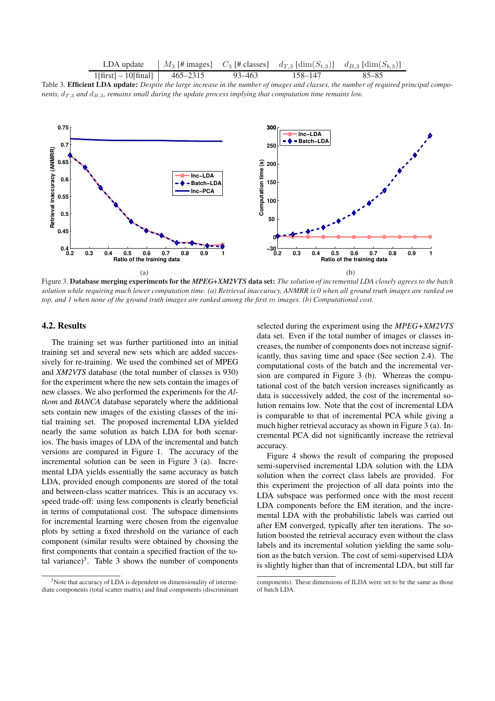LDA update | 
$$
M_3
$$
 [# images]  $C_3$  [# classes]  $d_{T,3}$  [dim $(S_{t,3})$ ]  $d_{B,3}$  [dim $(S_{b,3})$ ]

1[first] – 10[final] 465–2315 93–463 158–147 85–85 Table 3. Efficient LDA update: *Despite the large increase in the number of images and classes, the number of required principal components,*  $d_{T,3}$  *and*  $d_{B,3}$ *, remains small during the update process implying that computation time remains low.* 



Figure 3. Database merging experiments for the *MPEG+XM2VTS* data set: *The solution of incremental LDA closely agrees to the batch solution while requiring much lower computation time. (a) Retrieval inaccuracy, ANMRR is 0 when all ground truth images are ranked on top, and 1 when none of the ground truth images are ranked among the first* m *images. (b) Computational cost.*

## 4.2. Results

The training set was further partitioned into an initial training set and several new sets which are added successively for re-training. We used the combined set of MPEG and *XM2VTS* database (the total number of classes is 930) for the experiment where the new sets contain the images of new classes. We also performed the experiments for the *Altkom* and *BANCA* database separately where the additional sets contain new images of the existing classes of the initial training set. The proposed incremental LDA yielded nearly the same solution as batch LDA for both scenarios. The basis images of LDA of the incremental and batch versions are compared in Figure 1. The accuracy of the incremental solution can be seen in Figure 3 (a). Incremental LDA yields essentially the same accuracy as batch LDA, provided enough components are stored of the total and between-class scatter matrices. This is an accuracy vs. speed trade-off: using less components is clearly beneficial in terms of computational cost. The subspace dimensions for incremental learning were chosen from the eigenvalue plots by setting a fixed threshold on the variance of each component (similar results were obtained by choosing the first components that contain a specified fraction of the total variance)<sup>3</sup>. Table 3 shows the number of components

selected during the experiment using the *MPEG+XM2VTS* data set. Even if the total number of images or classes increases, the number of components does not increase significantly, thus saving time and space (See section 2.4). The computational costs of the batch and the incremental version are compared in Figure 3 (b). Whereas the computational cost of the batch version increases significantly as data is successively added, the cost of the incremental solution remains low. Note that the cost of incremental LDA is comparable to that of incremental PCA while giving a much higher retrieval accuracy as shown in Figure 3 (a). Incremental PCA did not significantly increase the retrieval accuracy.

Figure 4 shows the result of comparing the proposed semi-supervised incremental LDA solution with the LDA solution when the correct class labels are provided. For this experiment the projection of all data points into the LDA subspace was performed once with the most recent LDA components before the EM iteration, and the incremental LDA with the probabilistic labels was carried out after EM converged, typically after ten iterations. The solution boosted the retrieval accuracy even without the class labels and its incremental solution yielding the same solution as the batch version. The cost of semi-supervised LDA is slightly higher than that of incremental LDA, but still far

<sup>&</sup>lt;sup>3</sup>Note that accuracy of LDA is dependent on dimensionality of intermediate components (total scatter matrix) and final components (discriminant

components). These dimensions of ILDA were set to be the same as those of batch LDA.